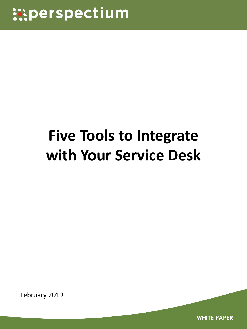# **Five Tools to Integrate with Your Service Desk**

February 2019

**WHITE PAPER**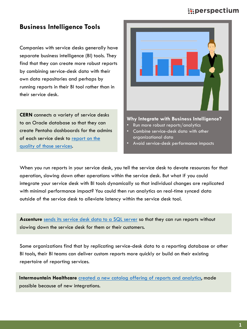## **Business Intelligence Tools**

Companies with service desks generally have separate business intelligence (BI) tools. They find that they can create more robust reports by combining service-desk data with their own data repositories and perhaps by running reports in their BI tool rather than in their service desk.

**CERN** connects a variety of service desks to an Oracle database so that they can create Pentaho dashboards for the admins [of each service desk to report on the](https://www.perspectium.com/cern-recording/cern-reporting-non-it-services/) quality of those services.



#### **Why Integrate with Business Intelligence?**

- Run more robust reports/analytics
- Combine service-desk data with other organizational data
- Avoid service-desk performance impacts

When you run reports in your service desk, you tell the service desk to devote resources for that operation, slowing down other operations within the service desk. But what if you could integrate your service desk with BI tools dynamically so that individual changes are replicated with minimal performance impact? You could then run analytics on real-time synced data outside of the service desk to alleviate latency within the service desk tool.

**Accenture** [sends its service desk data to a SQL server](https://www.perspectium.com/accenture-webinar-video/accenture-db-client-integrations/) so that they can run reports without slowing down the service desk for them or their customers.

Some organizations find that by replicating service-desk data to a reporting database or other BI tools, their BI teams can deliver custom reports more quickly or build on their existing repertoire of reporting services.

**Intermountain Healthcare** [created a new catalog offering of reports and analytics,](https://www.perspectium.com/webinars/intermountain-healthcare-webinar-replay/) made possible because of new integrations.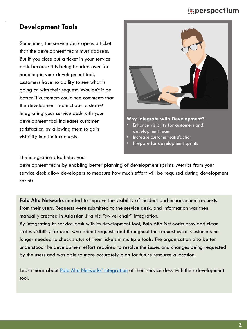## **Development Tools**

Sometimes, the service desk opens a ticket that the development team must address. But if you close out a ticket in your service desk because it is being handed over for handling in your development tool, customers have no ability to see what is going on with their request. Wouldn't it be better if customers could see comments that the development team chose to share? Integrating your service desk with your development tool increases customer satisfaction by allowing them to gain visibility into their requests.



#### **Why Integrate with Development?**

- Enhance visibility for customers and development team
- Increase customer satisfaction
- Prepare for development sprints

#### The integration also helps your

development team by enabling better planning of development sprints. Metrics from your service desk allow developers to measure how much effort will be required during development sprints.

**Palo Alto Networks** needed to improve the visibility of incident and enhancement requests from their users. Requests were submitted to the service desk, and information was then manually created in Atlassian Jira via "swivel chair" integration.

By integrating its service desk with its development tool, Palo Alto Networks provided clear status visibility for users who submit requests and throughout the request cycle. Customers no longer needed to check status of their tickets in multiple tools. The organization also better understood the development effort required to resolve the issues and changes being requested by the users and was able to more accurately plan for future resource allocation.

Learn more about [Palo Alto Networks' integration](https://www.perspectium.com/wp-content/uploads/2018/06/Palo-Alto-Networks-use-case.pdf) of their service desk with their development tool.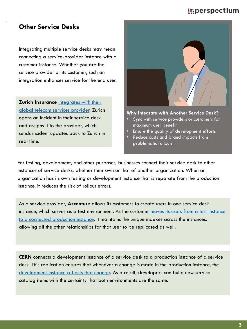## **Other Service Desks**

Integrating multiple service desks may mean connecting a service-provider instance with a customer instance. Whether you are the service provider or its customer, such an integration enhances service for the end user.

**Zurich Insurance** integrates with their [global telecom services provider. Zuric](https://www.perspectium.com/wp-content/uploads/2018/07/Zurich-use-case-updated.pdf)h opens an incident in their service desk and assigns it to the provider, which sends incident updates back to Zurich in real time.



#### **Why Integrate with Another Service Desk?**

- Sync with service providers or customers for maximum user benefit
- Ensure the quality of development efforts
- Reduce costs and brand impacts from problematic rollouts

For testing, development, and other purposes, businesses connect their service desk to other instances of service desks, whether their own or that of another organization. When an organization has its own testing or development instance that is separate from the production instance, it reduces the risk of rollout errors.

As a service provider, **Accenture** allows its customers to create users in one service desk instance, which serves as a test environment. As the customer moves its users from a test instance [to a connected production instance, it maintains the unique indexes across the instances,](https://www.perspectium.com/accenture-webinar-video/accenture-provisioning-customers/)  allowing all the other relationships for that user to be replicated as well.

**CERN** connects a development instance of a service desk to a production instance of a service desk. This replication ensures that whenever a change is made in the production instance, the [development instance reflects that change.](https://www.perspectium.com/cern-recording/cern-business-service-catalog-sync/) As a result, developers can build new servicecatalog items with the certainty that both environments are the same.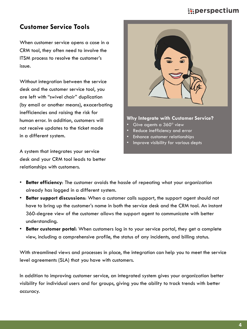## **Customer Service Tools**

When customer service opens a case in a CRM tool, they often need to involve the ITSM process to resolve the customer's issue.

Without integration between the service desk and the customer service tool, you are left with "swivel chair" duplication (by email or another means), exacerbating inefficiencies and raising the risk for human error. In addition, customers will not receive updates to the ticket made in a different system.

A system that integrates your service desk and your CRM tool leads to better relationships with customers.



#### **Why Integrate with Customer Service?**

- Give agents a  $360^{\circ}$  view
- Reduce inefficiency and error
- Enhance customer relationships
- Improve visibility for various depts

- **Better efficiency**: The customer avoids the hassle of repeating what your organization already has logged in a different system.
- **Better support discussions**: When a customer calls support, the support agent should not have to bring up the customer's name in both the service desk and the CRM tool. An instant 360-degree view of the customer allows the support agent to communicate with better understanding.
- **Better customer portal**: When customers log in to your service portal, they get a complete view, including a comprehensive profile, the status of any incidents, and billing status.

With streamlined views and processes in place, the integration can help you to meet the service level agreements (SLA) that you have with customers.

In addition to improving customer service, an integrated system gives your organization better visibility for individual users and for groups, giving you the ability to track trends with better accuracy.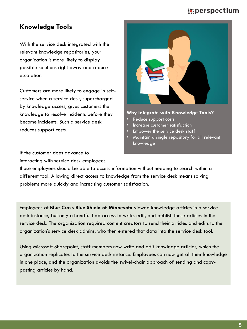## **Knowledge Tools**

With the service desk integrated with the relevant knowledge repositories, your organization is more likely to display possible solutions right away and reduce escalation.

Customers are more likely to engage in selfservice when a service desk, supercharged by knowledge access, gives customers the knowledge to resolve incidents before they become incidents. Such a service desk reduces support costs.



#### **Why Integrate with Knowledge Tools?**

- Reduce support costs
- Increase customer satisfaction
- Empower the service desk staff
- Maintain a single repository for all relevant knowledge

If the customer does advance to interacting with service desk employees,

those employees should be able to access information without needing to search within a different tool. Allowing direct access to knowledge from the service desk means solving problems more quickly and increasing customer satisfaction.

Employees at **Blue Cross Blue Shield of Minnesota** viewed knowledge articles in a service desk instance, but only a handful had access to write, edit, and publish those articles in the service desk. The organization required content creators to send their articles and edits to the organization's service desk admins, who then entered that data into the service desk tool.

Using Microsoft Sharepoint, staff members now write and edit knowledge articles, which the organization replicates to the service desk instance. Employees can now get all their knowledge in one place, and the organization avoids the swivel-chair approach of sending and copypasting articles by hand.